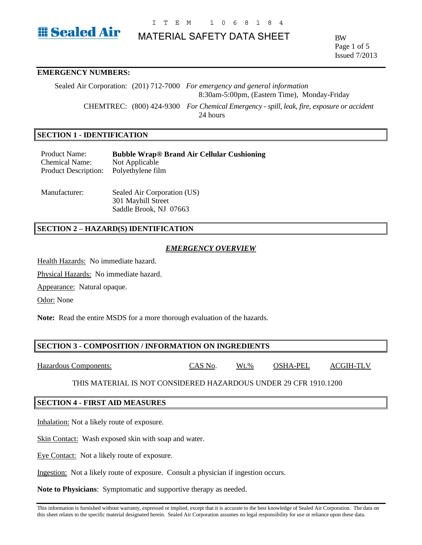

# MATERIAL SAFETY DATA SHEET

BW Page 1 of 5 Issued 7/2013

# **EMERGENCY NUMBERS:**

Sealed Air Corporation: (201) 712-7000 *For emergency and general information* 8:30am-5:00pm, (Eastern Time), Monday-Friday CHEMTREC: (800) 424-9300 *For Chemical Emergency - spill, leak, fire, exposure or accident* 24 hours

### **SECTION 1 - IDENTIFICATION**

Product Name: **Bubble Wrap® Brand Air Cellular Cushioning** Chemical Name: Not Applicable Product Description: Polyethylene film

Manufacturer: Sealed Air Corporation (US) 301 Mayhill Street Saddle Brook, NJ 07663

# **SECTION 2 – HAZARD(S) IDENTIFICATION**

### *EMERGENCY OVERVIEW*

Health Hazards: No immediate hazard.

Physical Hazards: No immediate hazard.

Appearance: Natural opaque.

Odor: None

**Note:** Read the entire MSDS for a more thorough evaluation of the hazards.

### **SECTION 3 - COMPOSITION / INFORMATION ON INGREDIENTS**

Hazardous Components: CAS No. Wt.% OSHA-PEL ACGIH-TLV

THIS MATERIAL IS NOT CONSIDERED HAZARDOUS UNDER 29 CFR 1910.1200

### **SECTION 4 - FIRST AID MEASURES**

Inhalation: Not a likely route of exposure.

Skin Contact: Wash exposed skin with soap and water.

Eye Contact: Not a likely route of exposure.

Ingestion: Not a likely route of exposure. Consult a physician if ingestion occurs.

**Note to Physicians**: Symptomatic and supportive therapy as needed.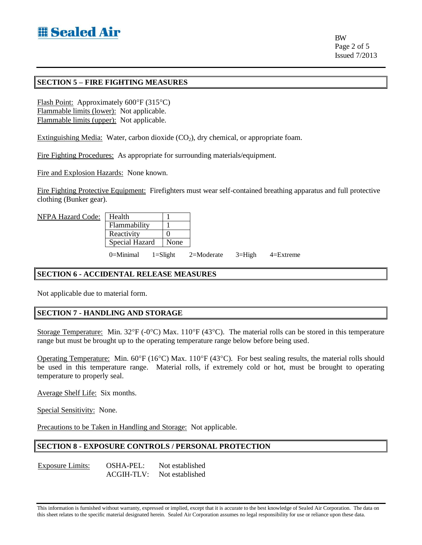BW Page 2 of 5 Issued 7/2013

# **SECTION 5 – FIRE FIGHTING MEASURES**

Flash Point: Approximately  $600^{\circ}F(315^{\circ}C)$ Flammable limits (lower): Not applicable. Flammable limits (upper): Not applicable.

Extinguishing Media: Water, carbon dioxide  $(CO<sub>2</sub>)$ , dry chemical, or appropriate foam.

Fire Fighting Procedures: As appropriate for surrounding materials/equipment.

Fire and Explosion Hazards: None known.

Fire Fighting Protective Equipment: Firefighters must wear self-contained breathing apparatus and full protective clothing (Bunker gear).

| NFPA Hazard Code: | ∣ Health              |  |              |            |            |               |
|-------------------|-----------------------|--|--------------|------------|------------|---------------|
|                   | Flammability          |  |              |            |            |               |
|                   | Reactivity            |  |              |            |            |               |
|                   | <b>Special Hazard</b> |  | None         |            |            |               |
|                   | 0=Minimal             |  | $1 =$ Slight | 2=Moderate | $3 =$ High | $4 =$ Extreme |

# **SECTION 6 - ACCIDENTAL RELEASE MEASURES**

Not applicable due to material form.

### **SECTION 7 - HANDLING AND STORAGE**

Storage Temperature: Min.  $32^{\circ}F$  (-0°C) Max.  $110^{\circ}F$  (43°C). The material rolls can be stored in this temperature range but must be brought up to the operating temperature range below before being used.

Operating Temperature: Min. 60°F (16°C) Max. 110°F (43°C). For best sealing results, the material rolls should be used in this temperature range. Material rolls, if extremely cold or hot, must be brought to operating temperature to properly seal.

Average Shelf Life: Six months.

Special Sensitivity: None.

Precautions to be Taken in Handling and Storage: Not applicable.

# **SECTION 8 - EXPOSURE CONTROLS / PERSONAL PROTECTION**

Exposure Limits: OSHA-PEL: Not established ACGIH-TLV: Not established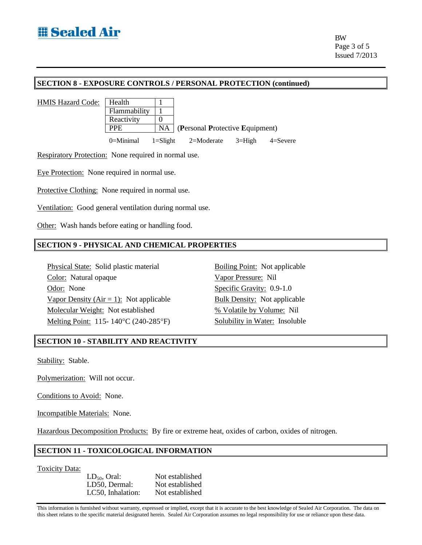# **SECTION 8 - EXPOSURE CONTROLS / PERSONAL PROTECTION (continued)**

HMIS Hazard Code: | Health | 1



Respiratory Protection: None required in normal use.

Eye Protection: None required in normal use.

Protective Clothing: None required in normal use.

Ventilation: Good general ventilation during normal use.

Other: Wash hands before eating or handling food.

### **SECTION 9 - PHYSICAL AND CHEMICAL PROPERTIES**

Physical State: Solid plastic material Boiling Point: Not applicable Color: Natural opaque Vapor Pressure: Nil Odor: None Specific Gravity: 0.9-1.0 Vapor Density ( $Air = 1$ ): Not applicable Bulk Density: Not applicable Molecular Weight: Not established % Volatile by Volume: Nil Melting Point: 115-140°C (240-285°F) Solubility in Water: Insoluble

### **SECTION 10 - STABILITY AND REACTIVITY**

Stability: Stable.

Polymerization: Will not occur.

Conditions to Avoid: None.

Incompatible Materials: None.

Hazardous Decomposition Products: By fire or extreme heat, oxides of carbon, oxides of nitrogen.

# **SECTION 11 - TOXICOLOGICAL INFORMATION**

Toxicity Data:

LD<sub>50</sub>, Oral: Not established<br>LD50. Dermal: Not established LD50, Dermal: LC50, Inhalation: Not established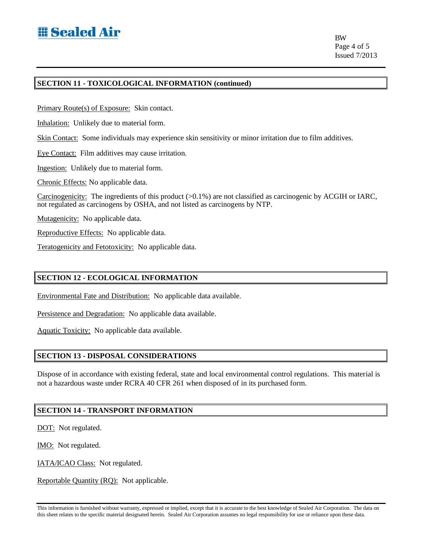BW Page 4 of 5 Issued 7/2013

# **SECTION 11 - TOXICOLOGICAL INFORMATION (continued)**

Primary Route(s) of Exposure: Skin contact.

Inhalation: Unlikely due to material form.

Skin Contact: Some individuals may experience skin sensitivity or minor irritation due to film additives.

Eye Contact: Film additives may cause irritation.

Ingestion: Unlikely due to material form.

Chronic Effects: No applicable data.

Carcinogenicity: The ingredients of this product (>0.1%) are not classified as carcinogenic by ACGIH or IARC, not regulated as carcinogens by OSHA, and not listed as carcinogens by NTP.

Mutagenicity: No applicable data.

Reproductive Effects: No applicable data.

Teratogenicity and Fetotoxicity: No applicable data.

# **SECTION 12 - ECOLOGICAL INFORMATION**

Environmental Fate and Distribution: No applicable data available.

Persistence and Degradation: No applicable data available.

Aquatic Toxicity: No applicable data available.

### **SECTION 13 - DISPOSAL CONSIDERATIONS**

Dispose of in accordance with existing federal, state and local environmental control regulations. This material is not a hazardous waste under RCRA 40 CFR 261 when disposed of in its purchased form.

# **SECTION 14 - TRANSPORT INFORMATION**

DOT: Not regulated.

IMO: Not regulated.

IATA/ICAO Class: Not regulated.

Reportable Quantity (RQ): Not applicable.